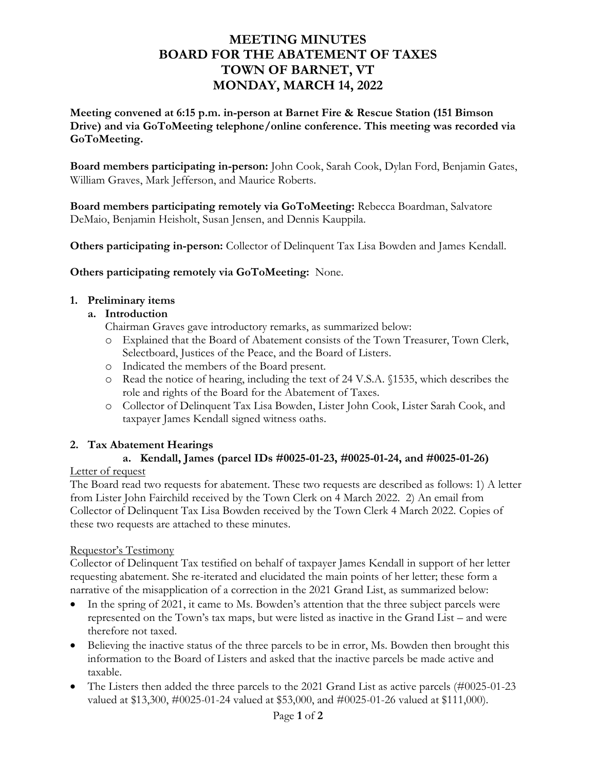# **MEETING MINUTES BOARD FOR THE ABATEMENT OF TAXES TOWN OF BARNET, VT MONDAY, MARCH 14, 2022**

**Meeting convened at 6:15 p.m. in-person at Barnet Fire & Rescue Station (151 Bimson Drive) and via GoToMeeting telephone/online conference. This meeting was recorded via GoToMeeting.** 

**Board members participating in-person:** John Cook, Sarah Cook, Dylan Ford, Benjamin Gates, William Graves, Mark Jefferson, and Maurice Roberts.

**Board members participating remotely via GoToMeeting:** Rebecca Boardman, Salvatore DeMaio, Benjamin Heisholt, Susan Jensen, and Dennis Kauppila.

**Others participating in-person:** Collector of Delinquent Tax Lisa Bowden and James Kendall.

**Others participating remotely via GoToMeeting:** None.

#### **1. Preliminary items**

#### **a. Introduction**

Chairman Graves gave introductory remarks, as summarized below:

- o Explained that the Board of Abatement consists of the Town Treasurer, Town Clerk, Selectboard, Justices of the Peace, and the Board of Listers.
- o Indicated the members of the Board present.
- o Read the notice of hearing, including the text of 24 V.S.A. §1535, which describes the role and rights of the Board for the Abatement of Taxes.
- o Collector of Delinquent Tax Lisa Bowden, Lister John Cook, Lister Sarah Cook, and taxpayer James Kendall signed witness oaths.

#### **2. Tax Abatement Hearings**

### **a. Kendall, James (parcel IDs #0025-01-23, #0025-01-24, and #0025-01-26)**

#### Letter of request

The Board read two requests for abatement. These two requests are described as follows: 1) A letter from Lister John Fairchild received by the Town Clerk on 4 March 2022. 2) An email from Collector of Delinquent Tax Lisa Bowden received by the Town Clerk 4 March 2022. Copies of these two requests are attached to these minutes.

#### Requestor's Testimony

Collector of Delinquent Tax testified on behalf of taxpayer James Kendall in support of her letter requesting abatement. She re-iterated and elucidated the main points of her letter; these form a narrative of the misapplication of a correction in the 2021 Grand List, as summarized below:

- In the spring of 2021, it came to Ms. Bowden's attention that the three subject parcels were represented on the Town's tax maps, but were listed as inactive in the Grand List – and were therefore not taxed.
- Believing the inactive status of the three parcels to be in error, Ms. Bowden then brought this information to the Board of Listers and asked that the inactive parcels be made active and taxable.
- The Listers then added the three parcels to the 2021 Grand List as active parcels (#0025-01-23 valued at \$13,300, #0025-01-24 valued at \$53,000, and #0025-01-26 valued at \$111,000).